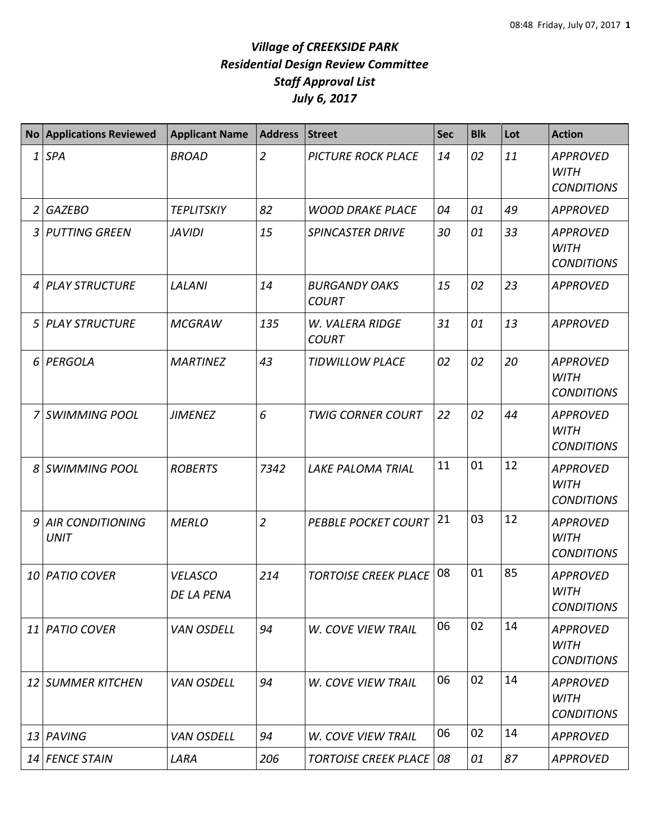|                | No Applications Reviewed          | <b>Applicant Name</b>        | <b>Address</b> | <b>Street</b>                        | <b>Sec</b> | <b>Blk</b> | Lot | <b>Action</b>                                       |
|----------------|-----------------------------------|------------------------------|----------------|--------------------------------------|------------|------------|-----|-----------------------------------------------------|
| 1              | <b>SPA</b>                        | <b>BROAD</b>                 | $\overline{2}$ | <b>PICTURE ROCK PLACE</b>            | 14         | 02         | 11  | <b>APPROVED</b><br><b>WITH</b><br><b>CONDITIONS</b> |
| $\overline{2}$ | <b>GAZEBO</b>                     | <b>TEPLITSKIY</b>            | 82             | <b>WOOD DRAKE PLACE</b>              | 04         | 01         | 49  | <b>APPROVED</b>                                     |
| 3              | <b>PUTTING GREEN</b>              | <b>JAVIDI</b>                | 15             | <b>SPINCASTER DRIVE</b>              | 30         | 01         | 33  | <b>APPROVED</b><br><b>WITH</b><br><b>CONDITIONS</b> |
| 4              | PLAY STRUCTURE                    | <b>LALANI</b>                | 14             | <b>BURGANDY OAKS</b><br><b>COURT</b> | 15         | 02         | 23  | APPROVED                                            |
| 5              | PLAY STRUCTURE                    | <b>MCGRAW</b>                | 135            | W. VALERA RIDGE<br><b>COURT</b>      | 31         | 01         | 13  | <b>APPROVED</b>                                     |
|                | 6 PERGOLA                         | <b>MARTINEZ</b>              | 43             | <b>TIDWILLOW PLACE</b>               | 02         | 02         | 20  | <b>APPROVED</b><br><b>WITH</b><br><b>CONDITIONS</b> |
| 7              | <b>SWIMMING POOL</b>              | <b>JIMENEZ</b>               | 6              | <b>TWIG CORNER COURT</b>             | 22         | 02         | 44  | <b>APPROVED</b><br><b>WITH</b><br><b>CONDITIONS</b> |
| 8              | <b>SWIMMING POOL</b>              | <b>ROBERTS</b>               | 7342           | <b>LAKE PALOMA TRIAL</b>             | 11         | 01         | 12  | <b>APPROVED</b><br><b>WITH</b><br><b>CONDITIONS</b> |
|                | 9 AIR CONDITIONING<br><b>UNIT</b> | <b>MERLO</b>                 | $\overline{2}$ | <b>PEBBLE POCKET COURT</b>           | 21         | 03         | 12  | <b>APPROVED</b><br><b>WITH</b><br><b>CONDITIONS</b> |
|                | 10 PATIO COVER                    | <b>VELASCO</b><br>DE LA PENA | 214            | <b>TORTOISE CREEK PLACE</b>          | 08         | 01         | 85  | <b>APPROVED</b><br><b>WITH</b><br><b>CONDITIONS</b> |
|                | 11 PATIO COVER                    | <b>VAN OSDELL</b>            | 94             | <b>W. COVE VIEW TRAIL</b>            | 06         | 02         | 14  | <b>APPROVED</b><br><b>WITH</b><br><b>CONDITIONS</b> |
|                | 12 SUMMER KITCHEN                 | <b>VAN OSDELL</b>            | 94             | <b>W. COVE VIEW TRAIL</b>            | 06         | 02         | 14  | <b>APPROVED</b><br><b>WITH</b><br><b>CONDITIONS</b> |
| 13             | PAVING                            | <b>VAN OSDELL</b>            | 94             | W. COVE VIEW TRAIL                   | 06         | 02         | 14  | <b>APPROVED</b>                                     |
|                | 14 FENCE STAIN                    | LARA                         | 206            | <b>TORTOISE CREEK PLACE   08</b>     |            | 01         | 87  | <b>APPROVED</b>                                     |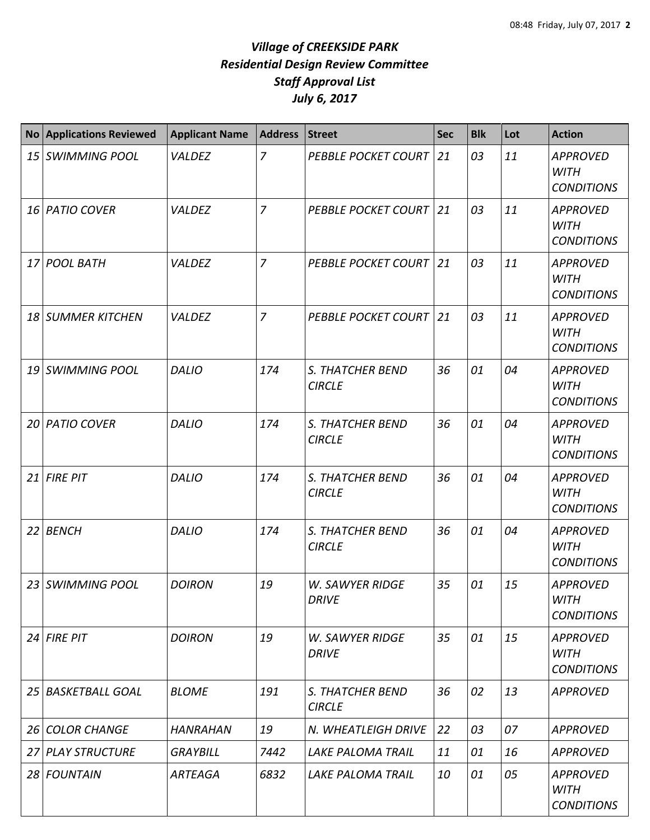| No Applications Reviewed | <b>Applicant Name</b> | <b>Address</b> | Street                                 | <b>Sec</b> | <b>Blk</b> | Lot | <b>Action</b>                                       |
|--------------------------|-----------------------|----------------|----------------------------------------|------------|------------|-----|-----------------------------------------------------|
| 15 SWIMMING POOL         | VALDEZ                | $\overline{z}$ | <b>PEBBLE POCKET COURT</b>             | 21         | 03         | 11  | <b>APPROVED</b><br><b>WITH</b><br><b>CONDITIONS</b> |
| 16 PATIO COVER           | VALDEZ                | $\overline{z}$ | <b>PEBBLE POCKET COURT</b>             | 21         | 03         | 11  | <b>APPROVED</b><br><b>WITH</b><br><b>CONDITIONS</b> |
| 17 POOL BATH             | VALDEZ                | $\overline{7}$ | <b>PEBBLE POCKET COURT</b>             | 21         | 03         | 11  | <b>APPROVED</b><br><b>WITH</b><br><b>CONDITIONS</b> |
| 18 SUMMER KITCHEN        | VALDEZ                | $\overline{7}$ | <b>PEBBLE POCKET COURT</b>             | 21         | 03         | 11  | <b>APPROVED</b><br><b>WITH</b><br><b>CONDITIONS</b> |
| 19 SWIMMING POOL         | <b>DALIO</b>          | 174            | S. THATCHER BEND<br><b>CIRCLE</b>      | 36         | 01         | 04  | <b>APPROVED</b><br><b>WITH</b><br><b>CONDITIONS</b> |
| 20 PATIO COVER           | <b>DALIO</b>          | 174            | S. THATCHER BEND<br><b>CIRCLE</b>      | 36         | 01         | 04  | <b>APPROVED</b><br><b>WITH</b><br><b>CONDITIONS</b> |
| $21$ FIRE PIT            | <b>DALIO</b>          | 174            | S. THATCHER BEND<br><b>CIRCLE</b>      | 36         | 01         | 04  | <b>APPROVED</b><br><b>WITH</b><br><b>CONDITIONS</b> |
| 22 BENCH                 | <b>DALIO</b>          | 174            | S. THATCHER BEND<br><b>CIRCLE</b>      | 36         | 01         | 04  | <b>APPROVED</b><br><b>WITH</b><br><b>CONDITIONS</b> |
| 23 SWIMMING POOL         | <b>DOIRON</b>         | 19             | <b>W. SAWYER RIDGE</b><br><b>DRIVE</b> | 35         | 01         | 15  | <b>APPROVED</b><br><b>WITH</b><br><b>CONDITIONS</b> |
| $24$ FIRE PIT            | <b>DOIRON</b>         | 19             | <b>W. SAWYER RIDGE</b><br><b>DRIVE</b> | 35         | 01         | 15  | <b>APPROVED</b><br>WITH<br><b>CONDITIONS</b>        |
| 25 BASKETBALL GOAL       | <b>BLOME</b>          | 191            | S. THATCHER BEND<br><b>CIRCLE</b>      | 36         | 02         | 13  | <b>APPROVED</b>                                     |
| 26 COLOR CHANGE          | <b>HANRAHAN</b>       | 19             | N. WHEATLEIGH DRIVE                    | 22         | 03         | 07  | <b>APPROVED</b>                                     |
| 27 PLAY STRUCTURE        | <b>GRAYBILL</b>       | 7442           | LAKE PALOMA TRAIL                      | 11         | 01         | 16  | <b>APPROVED</b>                                     |
| 28 FOUNTAIN              | <b>ARTEAGA</b>        | 6832           | LAKE PALOMA TRAIL                      | 10         | 01         | 05  | <b>APPROVED</b><br><b>WITH</b><br><b>CONDITIONS</b> |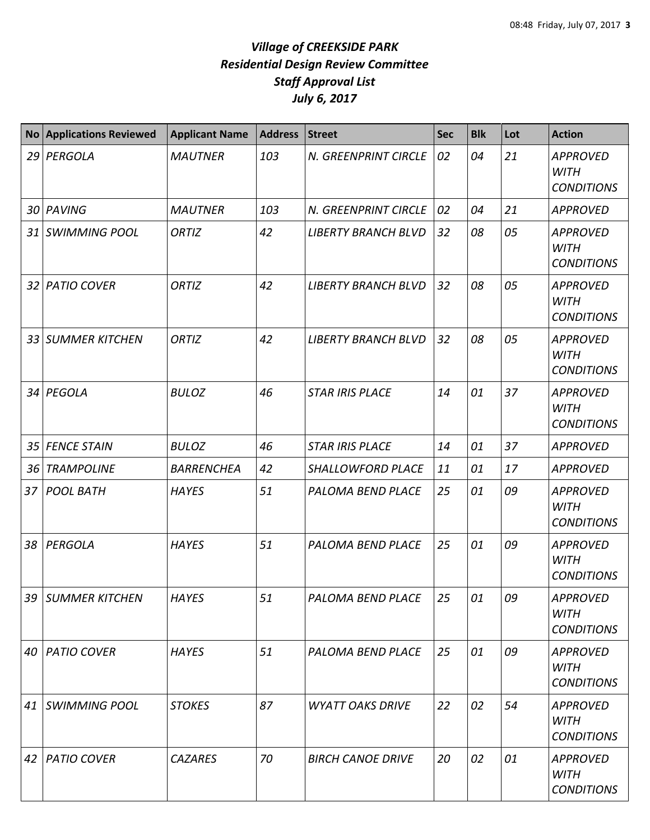| <b>No</b> | <b>Applications Reviewed</b> | <b>Applicant Name</b> | Address | <b>Street</b>              | <b>Sec</b> | <b>Blk</b> | Lot | <b>Action</b>                                       |
|-----------|------------------------------|-----------------------|---------|----------------------------|------------|------------|-----|-----------------------------------------------------|
|           | 29 PERGOLA                   | <b>MAUTNER</b>        | 103     | N. GREENPRINT CIRCLE       | 02         | 04         | 21  | <b>APPROVED</b><br><b>WITH</b><br><b>CONDITIONS</b> |
| 30        | PAVING                       | <b>MAUTNER</b>        | 103     | N. GREENPRINT CIRCLE       | 02         | 04         | 21  | <b>APPROVED</b>                                     |
| 31        | <b>SWIMMING POOL</b>         | ORTIZ                 | 42      | <b>LIBERTY BRANCH BLVD</b> | 32         | 08         | 05  | <b>APPROVED</b><br><b>WITH</b><br><b>CONDITIONS</b> |
|           | 32 PATIO COVER               | ORTIZ                 | 42      | <b>LIBERTY BRANCH BLVD</b> | 32         | 08         | 05  | <b>APPROVED</b><br><b>WITH</b><br><b>CONDITIONS</b> |
| 33        | <b>SUMMER KITCHEN</b>        | ORTIZ                 | 42      | <b>LIBERTY BRANCH BLVD</b> | 32         | 08         | 05  | <b>APPROVED</b><br><b>WITH</b><br><b>CONDITIONS</b> |
| 34        | PEGOLA                       | <b>BULOZ</b>          | 46      | <b>STAR IRIS PLACE</b>     | 14         | 01         | 37  | <b>APPROVED</b><br><b>WITH</b><br><b>CONDITIONS</b> |
| 35        | <b>FENCE STAIN</b>           | <b>BULOZ</b>          | 46      | <b>STAR IRIS PLACE</b>     | 14         | 01         | 37  | <b>APPROVED</b>                                     |
| 36        | <b>TRAMPOLINE</b>            | <b>BARRENCHEA</b>     | 42      | SHALLOWFORD PLACE          | 11         | 01         | 17  | <b>APPROVED</b>                                     |
| 37        | <b>POOL BATH</b>             | <b>HAYES</b>          | 51      | PALOMA BEND PLACE          | 25         | 01         | 09  | <b>APPROVED</b><br><b>WITH</b><br><b>CONDITIONS</b> |
| 38        | PERGOLA                      | <b>HAYES</b>          | 51      | PALOMA BEND PLACE          | 25         | 01         | 09  | <b>APPROVED</b><br><b>WITH</b><br><b>CONDITIONS</b> |
| 39        | <b>SUMMER KITCHEN</b>        | <b>HAYES</b>          | 51      | PALOMA BEND PLACE          | 25         | 01         | 09  | <b>APPROVED</b><br><b>WITH</b><br><b>CONDITIONS</b> |
| 40        | <b>PATIO COVER</b>           | <b>HAYES</b>          | 51      | PALOMA BEND PLACE          | 25         | 01         | 09  | <b>APPROVED</b><br><b>WITH</b><br><b>CONDITIONS</b> |
| 41        | <b>SWIMMING POOL</b>         | <b>STOKES</b>         | 87      | <b>WYATT OAKS DRIVE</b>    | 22         | 02         | 54  | <b>APPROVED</b><br><b>WITH</b><br><b>CONDITIONS</b> |
| 42        | <b>PATIO COVER</b>           | <b>CAZARES</b>        | 70      | <b>BIRCH CANOE DRIVE</b>   | 20         | 02         | 01  | <b>APPROVED</b><br><b>WITH</b><br><b>CONDITIONS</b> |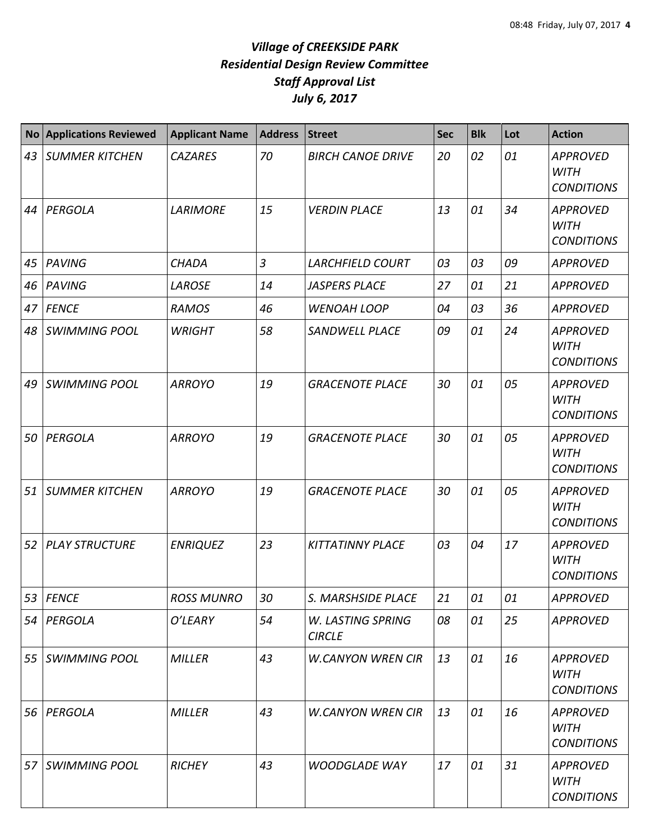| <b>No</b> | <b>Applications Reviewed</b> | <b>Applicant Name</b> | <b>Address</b> | <b>Street</b>                      | <b>Sec</b> | <b>Blk</b> | Lot | <b>Action</b>                                       |
|-----------|------------------------------|-----------------------|----------------|------------------------------------|------------|------------|-----|-----------------------------------------------------|
| 43        | <b>SUMMER KITCHEN</b>        | <b>CAZARES</b>        | 70             | <b>BIRCH CANOE DRIVE</b>           | 20         | 02         | 01  | <b>APPROVED</b><br><b>WITH</b><br><b>CONDITIONS</b> |
| 44        | PERGOLA                      | <b>LARIMORE</b>       | 15             | <b>VERDIN PLACE</b>                | 13         | 01         | 34  | <b>APPROVED</b><br><b>WITH</b><br><b>CONDITIONS</b> |
| 45        | PAVING                       | <b>CHADA</b>          | $\overline{3}$ | <b>LARCHFIELD COURT</b>            | 03         | 03         | 09  | <b>APPROVED</b>                                     |
| 46        | PAVING                       | <b>LAROSE</b>         | 14             | <b>JASPERS PLACE</b>               | 27         | 01         | 21  | <b>APPROVED</b>                                     |
| 47        | <b>FENCE</b>                 | <b>RAMOS</b>          | 46             | <b>WENOAH LOOP</b>                 | 04         | 03         | 36  | <b>APPROVED</b>                                     |
| 48        | <b>SWIMMING POOL</b>         | <b>WRIGHT</b>         | 58             | <b>SANDWELL PLACE</b>              | 09         | 01         | 24  | <b>APPROVED</b><br><b>WITH</b><br><b>CONDITIONS</b> |
| 49        | <b>SWIMMING POOL</b>         | <b>ARROYO</b>         | 19             | <b>GRACENOTE PLACE</b>             | 30         | 01         | 05  | <b>APPROVED</b><br><b>WITH</b><br><b>CONDITIONS</b> |
| 50        | PERGOLA                      | <b>ARROYO</b>         | 19             | <b>GRACENOTE PLACE</b>             | 30         | 01         | 05  | <b>APPROVED</b><br><b>WITH</b><br><b>CONDITIONS</b> |
| 51        | <b>SUMMER KITCHEN</b>        | <b>ARROYO</b>         | 19             | <b>GRACENOTE PLACE</b>             | 30         | 01         | 05  | <b>APPROVED</b><br><b>WITH</b><br><b>CONDITIONS</b> |
| 52        | <b>PLAY STRUCTURE</b>        | <b>ENRIQUEZ</b>       | 23             | <b>KITTATINNY PLACE</b>            | 03         | 04         | 17  | <b>APPROVED</b><br><b>WITH</b><br><b>CONDITIONS</b> |
|           | 53 FENCE                     | <b>ROSS MUNRO</b>     | 30             | S. MARSHSIDE PLACE                 | 21         | 01         | 01  | <b>APPROVED</b>                                     |
| 54        | PERGOLA                      | O'LEARY               | 54             | W. LASTING SPRING<br><b>CIRCLE</b> | 08         | 01         | 25  | <b>APPROVED</b>                                     |
| 55        | <b>SWIMMING POOL</b>         | <b>MILLER</b>         | 43             | <b>W.CANYON WREN CIR</b>           | 13         | 01         | 16  | <b>APPROVED</b><br><b>WITH</b><br><b>CONDITIONS</b> |
| 56        | PERGOLA                      | <b>MILLER</b>         | 43             | <b>W.CANYON WREN CIR</b>           | 13         | 01         | 16  | <b>APPROVED</b><br>WITH<br><b>CONDITIONS</b>        |
| 57        | <b>SWIMMING POOL</b>         | <b>RICHEY</b>         | 43             | <b>WOODGLADE WAY</b>               | 17         | 01         | 31  | <b>APPROVED</b><br><b>WITH</b><br><b>CONDITIONS</b> |